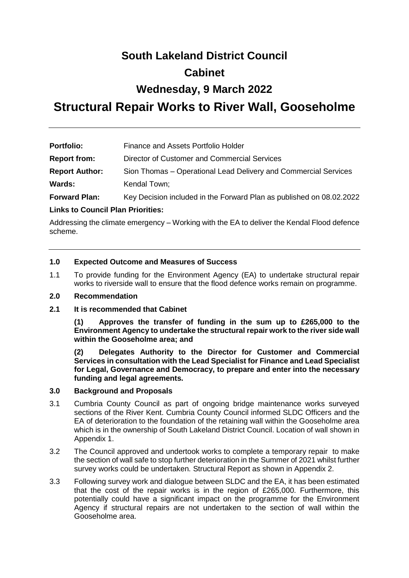# **South Lakeland District Council**

# **Cabinet**

# **Wednesday, 9 March 2022**

# **Structural Repair Works to River Wall, Gooseholme**

| <b>Portfolio:</b>     | Finance and Assets Portfolio Holder                                  |
|-----------------------|----------------------------------------------------------------------|
| <b>Report from:</b>   | Director of Customer and Commercial Services                         |
| <b>Report Author:</b> | Sion Thomas – Operational Lead Delivery and Commercial Services      |
| <b>Wards:</b>         | Kendal Town;                                                         |
| <b>Forward Plan:</b>  | Key Decision included in the Forward Plan as published on 08.02.2022 |

### **Links to Council Plan Priorities:**

Addressing the climate emergency – Working with the EA to deliver the Kendal Flood defence scheme.

#### **1.0 Expected Outcome and Measures of Success**

1.1 To provide funding for the Environment Agency (EA) to undertake structural repair works to riverside wall to ensure that the flood defence works remain on programme.

#### **2.0 Recommendation**

**2.1 It is recommended that Cabinet**

**(1) Approves the transfer of funding in the sum up to £265,000 to the Environment Agency to undertake the structural repair work to the river side wall within the Gooseholme area; and**

**(2) Delegates Authority to the Director for Customer and Commercial Services in consultation with the Lead Specialist for Finance and Lead Specialist for Legal, Governance and Democracy, to prepare and enter into the necessary funding and legal agreements.**

#### **3.0 Background and Proposals**

- 3.1 Cumbria County Council as part of ongoing bridge maintenance works surveyed sections of the River Kent. Cumbria County Council informed SLDC Officers and the EA of deterioration to the foundation of the retaining wall within the Gooseholme area which is in the ownership of South Lakeland District Council. Location of wall shown in Appendix 1.
- 3.2 The Council approved and undertook works to complete a temporary repair to make the section of wall safe to stop further deterioration in the Summer of 2021 whilst further survey works could be undertaken. Structural Report as shown in Appendix 2.
- 3.3 Following survey work and dialogue between SLDC and the EA, it has been estimated that the cost of the repair works is in the region of £265,000. Furthermore, this potentially could have a significant impact on the programme for the Environment Agency if structural repairs are not undertaken to the section of wall within the Gooseholme area.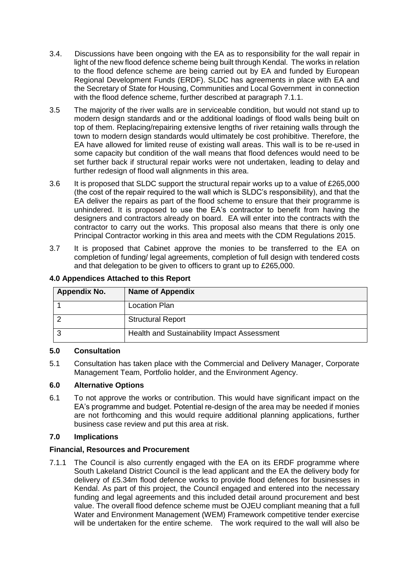- 3.4. Discussions have been ongoing with the EA as to responsibility for the wall repair in light of the new flood defence scheme being built through Kendal. The works in relation to the flood defence scheme are being carried out by EA and funded by European Regional Development Funds (ERDF). SLDC has agreements in place with EA and the Secretary of State for Housing, Communities and Local Government in connection with the flood defence scheme, further described at paragraph 7.1.1.
- 3.5 The majority of the river walls are in serviceable condition, but would not stand up to modern design standards and or the additional loadings of flood walls being built on top of them. Replacing/repairing extensive lengths of river retaining walls through the town to modern design standards would ultimately be cost prohibitive. Therefore, the EA have allowed for limited reuse of existing wall areas. This wall is to be re-used in some capacity but condition of the wall means that flood defences would need to be set further back if structural repair works were not undertaken, leading to delay and further redesign of flood wall alignments in this area.
- 3.6 It is proposed that SLDC support the structural repair works up to a value of £265,000 (the cost of the repair required to the wall which is SLDC's responsibility), and that the EA deliver the repairs as part of the flood scheme to ensure that their programme is unhindered. It is proposed to use the EA's contractor to benefit from having the designers and contractors already on board. EA will enter into the contracts with the contractor to carry out the works. This proposal also means that there is only one Principal Contractor working in this area and meets with the CDM Regulations 2015.
- 3.7 It is proposed that Cabinet approve the monies to be transferred to the EA on completion of funding/ legal agreements, completion of full design with tendered costs and that delegation to be given to officers to grant up to £265,000.

| <b>Appendix No.</b> | <b>Name of Appendix</b>                     |
|---------------------|---------------------------------------------|
|                     | <b>Location Plan</b>                        |
|                     | <b>Structural Report</b>                    |
| ≏                   | Health and Sustainability Impact Assessment |

### **4.0 Appendices Attached to this Report**

#### **5.0 Consultation**

5.1 Consultation has taken place with the Commercial and Delivery Manager, Corporate Management Team, Portfolio holder, and the Environment Agency.

#### **6.0 Alternative Options**

6.1 To not approve the works or contribution. This would have significant impact on the EA's programme and budget. Potential re-design of the area may be needed if monies are not forthcoming and this would require additional planning applications, further business case review and put this area at risk.

## **7.0 Implications**

## **Financial, Resources and Procurement**

7.1.1 The Council is also currently engaged with the EA on its ERDF programme where South Lakeland District Council is the lead applicant and the EA the delivery body for delivery of £5.34m flood defence works to provide flood defences for businesses in Kendal. As part of this project, the Council engaged and entered into the necessary funding and legal agreements and this included detail around procurement and best value. The overall flood defence scheme must be OJEU compliant meaning that a full Water and Environment Management (WEM) Framework competitive tender exercise will be undertaken for the entire scheme. The work required to the wall will also be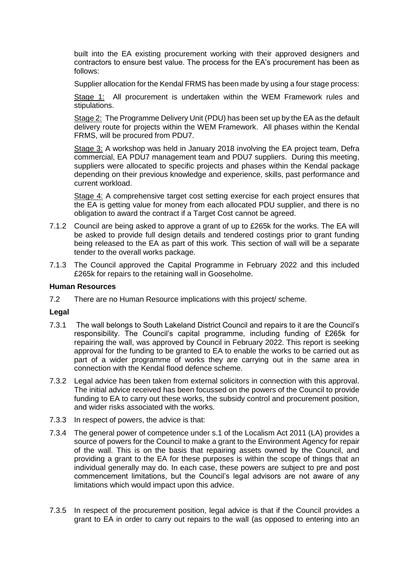built into the EA existing procurement working with their approved designers and contractors to ensure best value. The process for the EA's procurement has been as follows:

Supplier allocation for the Kendal FRMS has been made by using a four stage process:

Stage 1: All procurement is undertaken within the WEM Framework rules and stipulations.

Stage 2: The Programme Delivery Unit (PDU) has been set up by the EA as the default delivery route for projects within the WEM Framework. All phases within the Kendal FRMS, will be procured from PDU7.

Stage 3: A workshop was held in January 2018 involving the EA project team, Defra commercial, EA PDU7 management team and PDU7 suppliers. During this meeting, suppliers were allocated to specific projects and phases within the Kendal package depending on their previous knowledge and experience, skills, past performance and current workload.

Stage 4: A comprehensive target cost setting exercise for each project ensures that the EA is getting value for money from each allocated PDU supplier, and there is no obligation to award the contract if a Target Cost cannot be agreed.

- 7.1.2 Council are being asked to approve a grant of up to £265k for the works. The EA will be asked to provide full design details and tendered costings prior to grant funding being released to the EA as part of this work. This section of wall will be a separate tender to the overall works package.
- 7.1.3 The Council approved the Capital Programme in February 2022 and this included £265k for repairs to the retaining wall in Gooseholme.

#### **Human Resources**

7.2 There are no Human Resource implications with this project/ scheme.

#### **Legal**

- 7.3.1 The wall belongs to South Lakeland District Council and repairs to it are the Council's responsibility. The Council's capital programme, including funding of £265k for repairing the wall, was approved by Council in February 2022. This report is seeking approval for the funding to be granted to EA to enable the works to be carried out as part of a wider programme of works they are carrying out in the same area in connection with the Kendal flood defence scheme.
- 7.3.2 Legal advice has been taken from external solicitors in connection with this approval. The initial advice received has been focussed on the powers of the Council to provide funding to EA to carry out these works, the subsidy control and procurement position, and wider risks associated with the works.
- 7.3.3 In respect of powers, the advice is that:
- 7.3.4 The general power of competence under s.1 of the Localism Act 2011 (LA) provides a source of powers for the Council to make a grant to the Environment Agency for repair of the wall. This is on the basis that repairing assets owned by the Council, and providing a grant to the EA for these purposes is within the scope of things that an individual generally may do. In each case, these powers are subject to pre and post commencement limitations, but the Council's legal advisors are not aware of any limitations which would impact upon this advice.
- 7.3.5 In respect of the procurement position, legal advice is that if the Council provides a grant to EA in order to carry out repairs to the wall (as opposed to entering into an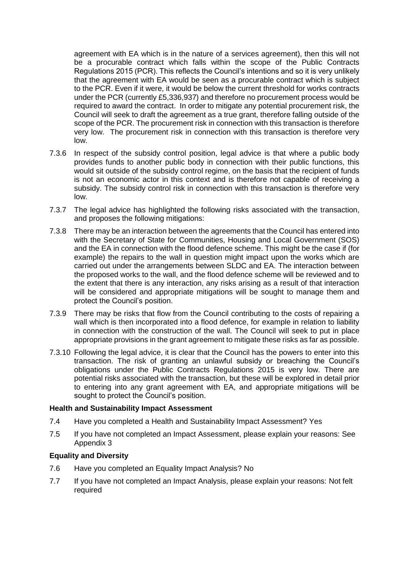agreement with EA which is in the nature of a services agreement), then this will not be a procurable contract which falls within the scope of the Public Contracts Regulations 2015 (PCR). This reflects the Council's intentions and so it is very unlikely that the agreement with EA would be seen as a procurable contract which is subject to the PCR. Even if it were, it would be below the current threshold for works contracts under the PCR (currently £5,336,937) and therefore no procurement process would be required to award the contract. In order to mitigate any potential procurement risk, the Council will seek to draft the agreement as a true grant, therefore falling outside of the scope of the PCR. The procurement risk in connection with this transaction is therefore very low. The procurement risk in connection with this transaction is therefore very low.

- 7.3.6 In respect of the subsidy control position, legal advice is that where a public body provides funds to another public body in connection with their public functions, this would sit outside of the subsidy control regime, on the basis that the recipient of funds is not an economic actor in this context and is therefore not capable of receiving a subsidy. The subsidy control risk in connection with this transaction is therefore very low.
- 7.3.7 The legal advice has highlighted the following risks associated with the transaction, and proposes the following mitigations:
- 7.3.8 There may be an interaction between the agreements that the Council has entered into with the Secretary of State for Communities, Housing and Local Government (SOS) and the EA in connection with the flood defence scheme. This might be the case if (for example) the repairs to the wall in question might impact upon the works which are carried out under the arrangements between SLDC and EA. The interaction between the proposed works to the wall, and the flood defence scheme will be reviewed and to the extent that there is any interaction, any risks arising as a result of that interaction will be considered and appropriate mitigations will be sought to manage them and protect the Council's position.
- 7.3.9 There may be risks that flow from the Council contributing to the costs of repairing a wall which is then incorporated into a flood defence, for example in relation to liability in connection with the construction of the wall. The Council will seek to put in place appropriate provisions in the grant agreement to mitigate these risks as far as possible.
- 7.3.10 Following the legal advice, it is clear that the Council has the powers to enter into this transaction. The risk of granting an unlawful subsidy or breaching the Council's obligations under the Public Contracts Regulations 2015 is very low. There are potential risks associated with the transaction, but these will be explored in detail prior to entering into any grant agreement with EA, and appropriate mitigations will be sought to protect the Council's position.

#### **Health and Sustainability Impact Assessment**

- 7.4 Have you completed a Health and Sustainability Impact Assessment? Yes
- 7.5 If you have not completed an Impact Assessment, please explain your reasons: See Appendix 3

#### **Equality and Diversity**

- 7.6 Have you completed an Equality Impact Analysis? No
- 7.7 If you have not completed an Impact Analysis, please explain your reasons: Not felt required